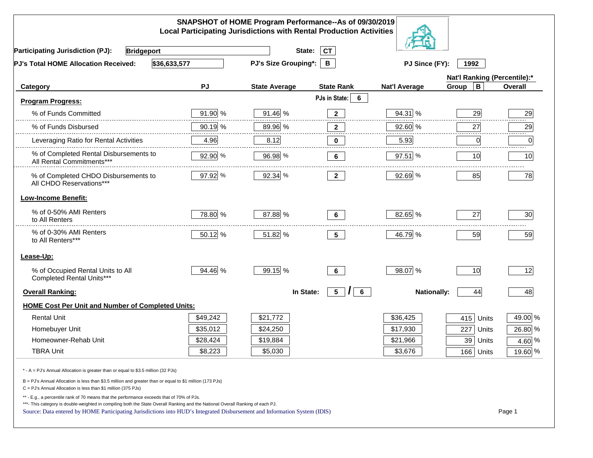| SNAPSHOT of HOME Program Performance--As of 09/30/2019<br><b>Local Participating Jurisdictions with Rental Production Activities</b>                                                                                                                                                                                                                               |          |                             |                                              |                      |                      |         |  |
|--------------------------------------------------------------------------------------------------------------------------------------------------------------------------------------------------------------------------------------------------------------------------------------------------------------------------------------------------------------------|----------|-----------------------------|----------------------------------------------|----------------------|----------------------|---------|--|
| <b>Participating Jurisdiction (PJ):</b><br><b>Bridgeport</b>                                                                                                                                                                                                                                                                                                       |          | State:                      | <b>CT</b>                                    |                      |                      |         |  |
| \$36,633,577<br><b>PJ's Total HOME Allocation Received:</b>                                                                                                                                                                                                                                                                                                        |          | <b>PJ's Size Grouping*:</b> | B                                            | PJ Since (FY):       | 1992                 |         |  |
|                                                                                                                                                                                                                                                                                                                                                                    |          |                             | Nat'l Ranking (Percentile):*                 |                      |                      |         |  |
| Category                                                                                                                                                                                                                                                                                                                                                           | PJ       | <b>State Average</b>        | <b>State Rank</b>                            | <b>Nat'l Average</b> | $\mathbf B$<br>Group | Overall |  |
| <b>Program Progress:</b>                                                                                                                                                                                                                                                                                                                                           |          |                             | PJs in State:<br>6                           |                      |                      |         |  |
| % of Funds Committed                                                                                                                                                                                                                                                                                                                                               | 91.90 %  | 91.46 %                     | $\mathbf{2}$                                 | 94.31 %              | 29                   | 29      |  |
| % of Funds Disbursed                                                                                                                                                                                                                                                                                                                                               | 90.19 %  | 89.96 %                     | $\mathbf{2}$                                 | 92.60 %              | 27                   | 29      |  |
| Leveraging Ratio for Rental Activities                                                                                                                                                                                                                                                                                                                             | 4.96     | 8.12                        | 0                                            | 5.93                 | 0                    | .<br>0  |  |
| % of Completed Rental Disbursements to<br>All Rental Commitments***                                                                                                                                                                                                                                                                                                | 92.90 %  | 96.98 %                     | 6                                            | 97.51 %              | 10                   | 10      |  |
| % of Completed CHDO Disbursements to<br>All CHDO Reservations***                                                                                                                                                                                                                                                                                                   | 97.92 %  | 92.34 %                     | $\mathbf{2}$                                 | 92.69 %              | 85                   | 78      |  |
| <b>Low-Income Benefit:</b>                                                                                                                                                                                                                                                                                                                                         |          |                             |                                              |                      |                      |         |  |
| % of 0-50% AMI Renters<br>to All Renters                                                                                                                                                                                                                                                                                                                           | 78.80 %  | 87.88 %                     | 6                                            | 82.65 %              | 27                   | 30      |  |
| % of 0-30% AMI Renters<br>to All Renters***                                                                                                                                                                                                                                                                                                                        | 50.12 %  | 51.82 %                     | 5 <sub>5</sub>                               | 46.79 %              | 59                   | 59      |  |
| Lease-Up:                                                                                                                                                                                                                                                                                                                                                          |          |                             |                                              |                      |                      |         |  |
| % of Occupied Rental Units to All<br>Completed Rental Units***                                                                                                                                                                                                                                                                                                     | 94.46 %  | 99.15 %                     | $6\phantom{a}$                               | 98.07 %              | 10                   | 12      |  |
| <b>Overall Ranking:</b>                                                                                                                                                                                                                                                                                                                                            |          | In State:                   | 5 <sup>5</sup><br>$6\phantom{.}$<br>$\prime$ | <b>Nationally:</b>   | 44                   | 48      |  |
| <b>HOME Cost Per Unit and Number of Completed Units:</b>                                                                                                                                                                                                                                                                                                           |          |                             |                                              |                      |                      |         |  |
| <b>Rental Unit</b>                                                                                                                                                                                                                                                                                                                                                 | \$49,242 | \$21,772                    |                                              | \$36,425             | 415<br>Units         | 49.00 % |  |
| Homebuyer Unit                                                                                                                                                                                                                                                                                                                                                     | \$35,012 | \$24,250                    |                                              | \$17,930             | 227<br>Units         | 26.80 % |  |
| Homeowner-Rehab Unit                                                                                                                                                                                                                                                                                                                                               | \$28,424 | \$19,884                    |                                              | \$21,966             | 39 Units             | 4.60 %  |  |
| <b>TBRA Unit</b>                                                                                                                                                                                                                                                                                                                                                   | \$8,223  | \$5,030                     |                                              | \$3,676              | 166 Units            | 19.60 % |  |
| * - A = PJ's Annual Allocation is greater than or equal to \$3.5 million (32 PJs)                                                                                                                                                                                                                                                                                  |          |                             |                                              |                      |                      |         |  |
| B = PJ's Annual Allocation is less than \$3.5 million and greater than or equal to \$1 million (173 PJs)<br>$C = PJ's$ Annual Allocation is less than \$1 million (375 PJs)                                                                                                                                                                                        |          |                             |                                              |                      |                      |         |  |
| ** - E.g., a percentile rank of 70 means that the performance exceeds that of 70% of PJs.<br>***- This category is double-weighted in compiling both the State Overall Ranking and the National Overall Ranking of each PJ.<br>Page 1<br>Source: Data entered by HOME Participating Jurisdictions into HUD's Integrated Disbursement and Information System (IDIS) |          |                             |                                              |                      |                      |         |  |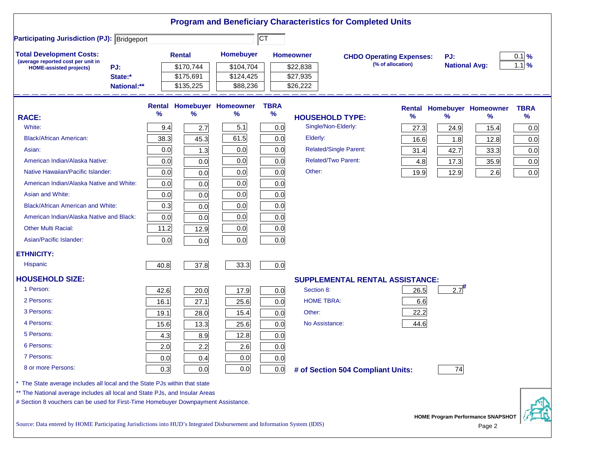|                                                                                                                |             |               |               |                            |             | <b>Program and Beneficiary Characteristics for Completed Units</b> |                                 |      |               |                                          |             |
|----------------------------------------------------------------------------------------------------------------|-------------|---------------|---------------|----------------------------|-------------|--------------------------------------------------------------------|---------------------------------|------|---------------|------------------------------------------|-------------|
| <b>Participating Jurisdiction (PJ): Bridgeport</b>                                                             |             |               |               |                            | ∣CT         |                                                                    |                                 |      |               |                                          |             |
| <b>Total Development Costs:</b><br>(average reported cost per unit in<br>PJ:<br><b>HOME-assisted projects)</b> |             | <b>Rental</b> |               | Homebuyer                  |             | <b>Homeowner</b>                                                   | <b>CHDO Operating Expenses:</b> |      | PJ:           |                                          | $0.1$ %     |
|                                                                                                                |             |               | \$170,744     | \$104,704                  |             | \$22,838                                                           | (% of allocation)               |      |               | <b>National Avg:</b>                     |             |
|                                                                                                                | State:*     |               | \$175,691     | \$124,425                  |             | \$27,935                                                           |                                 |      |               |                                          |             |
|                                                                                                                | National:** |               | \$135,225     | \$88,236                   |             | \$26,222                                                           |                                 |      |               |                                          |             |
|                                                                                                                |             |               |               | Rental Homebuyer Homeowner | <b>TBRA</b> |                                                                    |                                 |      |               | Rental Homebuyer Homeowner               | <b>TBRA</b> |
| <b>RACE:</b>                                                                                                   |             | %             | $\frac{9}{6}$ | ℅                          | $\%$        | <b>HOUSEHOLD TYPE:</b>                                             |                                 | %    | $\frac{9}{6}$ | ℅                                        | $\%$        |
| White:                                                                                                         |             | 9.4           | 2.7           | 5.1                        | 0.0         | Single/Non-Elderly:                                                |                                 | 27.3 | 24.9          | 15.4                                     | 0.0         |
| <b>Black/African American:</b>                                                                                 |             | 38.3          | 45.3          | 61.5                       | 0.0         | Elderly:                                                           |                                 | 16.6 | 1.8           | 12.8                                     | 0.0         |
| Asian:                                                                                                         |             | 0.0           | 1.3           | 0.0                        | 0.0         | <b>Related/Single Parent:</b>                                      |                                 | 31.4 | 42.7          | 33.3                                     | 0.0         |
| American Indian/Alaska Native:                                                                                 |             | 0.0           | 0.0           | 0.0                        | 0.0         | <b>Related/Two Parent:</b>                                         |                                 | 4.8  | 17.3          | 35.9                                     | 0.0         |
| Native Hawaiian/Pacific Islander:                                                                              |             | 0.0           | 0.0           | 0.0                        | 0.0         | Other:                                                             |                                 | 19.9 | 12.9          | 2.6                                      | 0.0         |
| American Indian/Alaska Native and White:                                                                       |             | 0.0           | 0.0           | 0.0                        | 0.0         |                                                                    |                                 |      |               |                                          |             |
| Asian and White:                                                                                               |             | 0.0           | 0.0           | 0.0                        | 0.0         |                                                                    |                                 |      |               |                                          |             |
| <b>Black/African American and White:</b>                                                                       |             | 0.3           | 0.0           | 0.0                        | 0.0         |                                                                    |                                 |      |               |                                          |             |
| American Indian/Alaska Native and Black:                                                                       |             | 0.0           | 0.0           | 0.0                        | 0.0         |                                                                    |                                 |      |               |                                          |             |
| <b>Other Multi Racial:</b>                                                                                     |             | 11.2          | 12.9          | 0.0                        | 0.0         |                                                                    |                                 |      |               |                                          |             |
| Asian/Pacific Islander:                                                                                        |             | 0.0           | 0.0           | 0.0                        | 0.0         |                                                                    |                                 |      |               |                                          |             |
| <b>ETHNICITY:</b>                                                                                              |             |               |               |                            |             |                                                                    |                                 |      |               |                                          |             |
| <b>Hispanic</b>                                                                                                |             | 40.8          | 37.8          | 33.3                       | 0.0         |                                                                    |                                 |      |               |                                          |             |
| <b>HOUSEHOLD SIZE:</b>                                                                                         |             |               |               |                            |             | <b>SUPPLEMENTAL RENTAL ASSISTANCE:</b>                             |                                 |      |               |                                          |             |
| 1 Person:                                                                                                      |             | 42.6          | 20.0          | 17.9                       | 0.0         | Section 8:                                                         |                                 | 26.5 | 2.7           |                                          |             |
| 2 Persons:                                                                                                     |             | 16.1          | 27.1          | 25.6                       | 0.0         | <b>HOME TBRA:</b>                                                  |                                 | 6.6  |               |                                          |             |
| 3 Persons:                                                                                                     |             | 19.1          | 28.0          | 15.4                       | 0.0         | Other:                                                             |                                 | 22.2 |               |                                          |             |
| 4 Persons:                                                                                                     |             | 15.6          | 13.3          | 25.6                       | 0.0         | No Assistance:                                                     |                                 | 44.6 |               |                                          |             |
| 5 Persons:                                                                                                     |             | 4.3           | 8.9           | 12.8                       | 0.0         |                                                                    |                                 |      |               |                                          |             |
| 6 Persons:                                                                                                     |             | 2.0           | 2.2           | 2.6                        | 0.0         |                                                                    |                                 |      |               |                                          |             |
| 7 Persons:                                                                                                     |             | 0.0           | 0.4           | 0.0                        | 0.0         |                                                                    |                                 |      |               |                                          |             |
| 8 or more Persons:                                                                                             |             | 0.3           | 0.0           | 0.0                        | 0.0         | # of Section 504 Compliant Units:                                  |                                 |      | 74            |                                          |             |
| The State average includes all local and the State PJs within that state                                       |             |               |               |                            |             |                                                                    |                                 |      |               |                                          |             |
| ** The National average includes all local and State PJs, and Insular Areas                                    |             |               |               |                            |             |                                                                    |                                 |      |               |                                          |             |
| # Section 8 vouchers can be used for First-Time Homebuyer Downpayment Assistance.                              |             |               |               |                            |             |                                                                    |                                 |      |               |                                          |             |
|                                                                                                                |             |               |               |                            |             |                                                                    |                                 |      |               | <b>HOME Program Performance SNAPSHOT</b> |             |

Source: Data entered by HOME Participating Jurisdictions into HUD's Integrated Disbursement and Information System (IDIS) Page 2